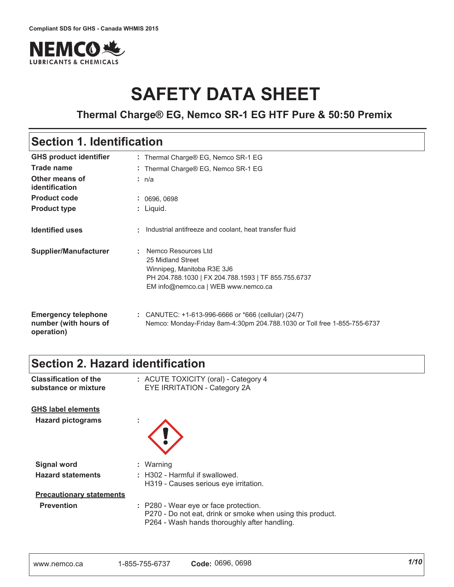

# **SAFETY DATA SHEET**

### **Thermal Charge® EG, Nemco SR-1 EG HTF Pure & 50:50 Premix**

### **Section 1. Identification**

| <b>GHS product identifier</b>                                     | : Thermal Charge® EG, Nemco SR-1 EG                                                                                                                                  |
|-------------------------------------------------------------------|----------------------------------------------------------------------------------------------------------------------------------------------------------------------|
| Trade name                                                        | : Thermal Charge® EG, Nemco SR-1 EG                                                                                                                                  |
| Other means of<br>identification                                  | : n/a                                                                                                                                                                |
| <b>Product code</b>                                               | : 0696, 0698                                                                                                                                                         |
| <b>Product type</b>                                               | $:$ Liquid.                                                                                                                                                          |
| <b>Identified uses</b>                                            | : Industrial antifreeze and coolant, heat transfer fluid                                                                                                             |
| <b>Supplier/Manufacturer</b>                                      | Nemco Resources Ltd<br>25 Midland Street<br>Winnipeg, Manitoba R3E 3J6<br>PH 204.788.1030   FX 204.788.1593   TF 855.755.6737<br>EM info@nemco.ca   WEB www.nemco.ca |
| <b>Emergency telephone</b><br>number (with hours of<br>operation) | : CANUTEC: $+1-613-996-6666$ or $*666$ (cellular) (24/7)<br>Nemco: Monday-Friday 8am-4:30pm 204.788.1030 or Toll free 1-855-755-6737                                 |

### **Section 2. Hazard identification**

| <b>Classification of the</b><br>substance or mixture | : ACUTE TOXICITY (oral) - Category 4<br>EYE IRRITATION - Category 2A                                                                                |
|------------------------------------------------------|-----------------------------------------------------------------------------------------------------------------------------------------------------|
| <b>GHS label elements</b>                            |                                                                                                                                                     |
| <b>Hazard pictograms</b>                             |                                                                                                                                                     |
|                                                      |                                                                                                                                                     |
| <b>Signal word</b>                                   | : Warning                                                                                                                                           |
| <b>Hazard statements</b>                             | : H302 - Harmful if swallowed.                                                                                                                      |
|                                                      | H319 - Causes serious eve irritation.                                                                                                               |
| <b>Precautionary statements</b>                      |                                                                                                                                                     |
| <b>Prevention</b>                                    | : P280 - Wear eye or face protection.<br>P270 - Do not eat, drink or smoke when using this product.<br>P264 - Wash hands thoroughly after handling. |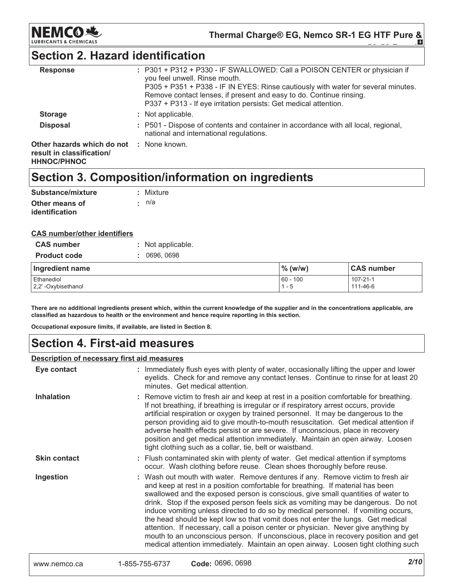

### **Section 2. Hazard identification**

| : P301 + P312 + P330 - IF SWALLOWED: Call a POISON CENTER or physician if<br>you feel unwell. Rinse mouth.<br>P305 + P351 + P338 - IF IN EYES: Rinse cautiously with water for several minutes.<br>Remove contact lenses, if present and easy to do. Continue rinsing.<br>P337 + P313 - If eye irritation persists: Get medical attention. |
|--------------------------------------------------------------------------------------------------------------------------------------------------------------------------------------------------------------------------------------------------------------------------------------------------------------------------------------------|
| : Not applicable.                                                                                                                                                                                                                                                                                                                          |
| : P501 - Dispose of contents and container in accordance with all local, regional,<br>national and international regulations.                                                                                                                                                                                                              |
| Other hazards which do not : None known.                                                                                                                                                                                                                                                                                                   |
|                                                                                                                                                                                                                                                                                                                                            |

### Section 3. Composition/information on ingredients

| Substance/mixture | : Mixture |
|-------------------|-----------|
| Other means of    | ∙ n/a     |
| identification    |           |

#### **CAS number/other identifiers**

| <b>CAS number</b>                | Not applicable. |                        |                      |
|----------------------------------|-----------------|------------------------|----------------------|
| <b>Product code</b>              | 0696.0698       |                        |                      |
| Ingredient name                  |                 | $\%$ (w/w)             | <b>CAS number</b>    |
| Ethanediol<br>2.2'-Oxybisethanol |                 | $160 - 100$<br>$1 - 5$ | 107-21-1<br>111-46-6 |

There are no additional ingredients present which, within the current knowledge of the supplier and in the concentrations applicable, are classified as hazardous to health or the environment and hence require reporting in this section.

Occupational exposure limits, if available, are listed in Section 8.

### **Section 4. First-aid measures**

#### Description of necessary first aid measures

| Eye contact         | : Immediately flush eyes with plenty of water, occasionally lifting the upper and lower<br>eyelids. Check for and remove any contact lenses. Continue to rinse for at least 20<br>minutes. Get medical attention.                                                                                                                                                                                                                                                                                                                                                                                                                                                                                                                                                                     |
|---------------------|---------------------------------------------------------------------------------------------------------------------------------------------------------------------------------------------------------------------------------------------------------------------------------------------------------------------------------------------------------------------------------------------------------------------------------------------------------------------------------------------------------------------------------------------------------------------------------------------------------------------------------------------------------------------------------------------------------------------------------------------------------------------------------------|
| <b>Inhalation</b>   | : Remove victim to fresh air and keep at rest in a position comfortable for breathing.<br>If not breathing, if breathing is irregular or if respiratory arrest occurs, provide<br>artificial respiration or oxygen by trained personnel. It may be dangerous to the<br>person providing aid to give mouth-to-mouth resuscitation. Get medical attention if<br>adverse health effects persist or are severe. If unconscious, place in recovery<br>position and get medical attention immediately. Maintain an open airway. Loosen<br>tight clothing such as a collar, tie, belt or waistband.                                                                                                                                                                                          |
| <b>Skin contact</b> | : Flush contaminated skin with plenty of water. Get medical attention if symptoms<br>occur. Wash clothing before reuse. Clean shoes thoroughly before reuse.                                                                                                                                                                                                                                                                                                                                                                                                                                                                                                                                                                                                                          |
| Ingestion           | : Wash out mouth with water. Remove dentures if any. Remove victim to fresh air<br>and keep at rest in a position comfortable for breathing. If material has been<br>swallowed and the exposed person is conscious, give small quantities of water to<br>drink. Stop if the exposed person feels sick as vomiting may be dangerous. Do not<br>induce vomiting unless directed to do so by medical personnel. If vomiting occurs,<br>the head should be kept low so that vomit does not enter the lungs. Get medical<br>attention. If necessary, call a poison center or physician. Never give anything by<br>mouth to an unconscious person. If unconscious, place in recovery position and get<br>medical attention immediately. Maintain an open airway. Loosen tight clothing such |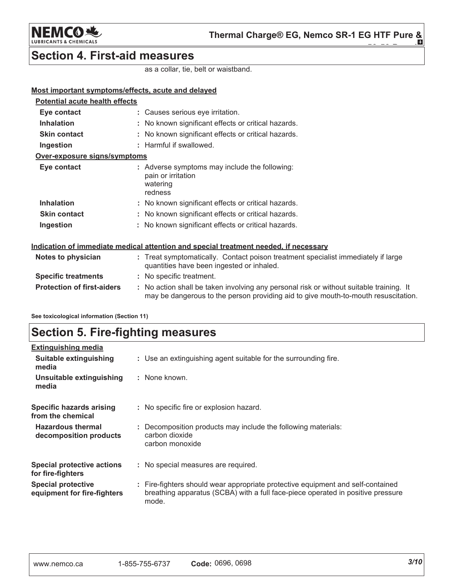

### **Section 4. First-aid measures**

as a collar, tie, belt or waistband.

#### Most important symptoms/effects, acute and delayed

| <b>Potential acute health effects</b>                                                |  |                                                                                                                                                                               |  |
|--------------------------------------------------------------------------------------|--|-------------------------------------------------------------------------------------------------------------------------------------------------------------------------------|--|
| Eye contact                                                                          |  | : Causes serious eye irritation.                                                                                                                                              |  |
| <b>Inhalation</b>                                                                    |  | : No known significant effects or critical hazards.                                                                                                                           |  |
| <b>Skin contact</b>                                                                  |  | : No known significant effects or critical hazards.                                                                                                                           |  |
| Ingestion                                                                            |  | : Harmful if swallowed.                                                                                                                                                       |  |
| Over-exposure signs/symptoms                                                         |  |                                                                                                                                                                               |  |
| Eye contact                                                                          |  | : Adverse symptoms may include the following:<br>pain or irritation<br>watering<br>redness                                                                                    |  |
| <b>Inhalation</b>                                                                    |  | : No known significant effects or critical hazards.                                                                                                                           |  |
| <b>Skin contact</b>                                                                  |  | : No known significant effects or critical hazards.                                                                                                                           |  |
| Ingestion                                                                            |  | : No known significant effects or critical hazards.                                                                                                                           |  |
| Indication of immediate medical attention and special treatment needed, if necessary |  |                                                                                                                                                                               |  |
| Notes to physician                                                                   |  | : Treat symptomatically. Contact poison treatment specialist immediately if large<br>quantities have been ingested or inhaled.                                                |  |
| <b>Specific treatments</b>                                                           |  | : No specific treatment.                                                                                                                                                      |  |
| <b>Protection of first-aiders</b>                                                    |  | : No action shall be taken involving any personal risk or without suitable training. It<br>may be dangerous to the person providing aid to give mouth-to-mouth resuscitation. |  |

See toxicological information (Section 11)

### **Section 5. Fire-fighting measures**

| <b>Extinguishing media</b>                               |                                                                                                                                                                             |
|----------------------------------------------------------|-----------------------------------------------------------------------------------------------------------------------------------------------------------------------------|
| Suitable extinguishing<br>media                          | : Use an extinguishing agent suitable for the surrounding fire.                                                                                                             |
| Unsuitable extinguishing<br>media                        | : None known.                                                                                                                                                               |
| Specific hazards arising<br>from the chemical            | : No specific fire or explosion hazard.                                                                                                                                     |
| <b>Hazardous thermal</b><br>decomposition products       | : Decomposition products may include the following materials:<br>carbon dioxide<br>carbon monoxide                                                                          |
| <b>Special protective actions</b><br>for fire-fighters   | : No special measures are required.                                                                                                                                         |
| <b>Special protective</b><br>equipment for fire-fighters | : Fire-fighters should wear appropriate protective equipment and self-contained<br>breathing apparatus (SCBA) with a full face-piece operated in positive pressure<br>mode. |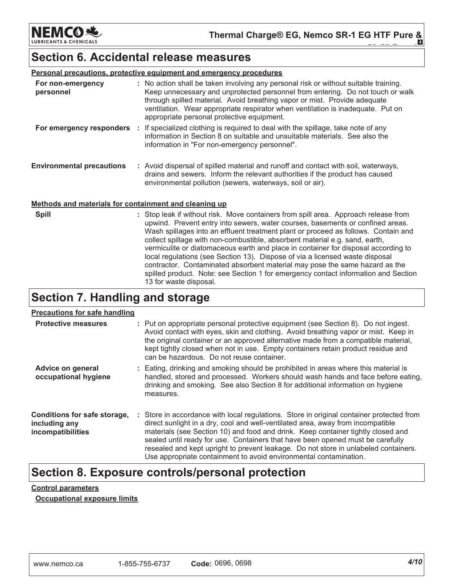NEMCOR

### Section 6. Accidental release measures

|                                                              | <b>Personal precautions, protective equipment and emergency procedures</b>                                                                                                                                                                                                                                                                                                           |
|--------------------------------------------------------------|--------------------------------------------------------------------------------------------------------------------------------------------------------------------------------------------------------------------------------------------------------------------------------------------------------------------------------------------------------------------------------------|
| For non-emergency<br>personnel                               | : No action shall be taken involving any personal risk or without suitable training.<br>Keep unnecessary and unprotected personnel from entering. Do not touch or walk<br>through spilled material. Avoid breathing vapor or mist. Provide adequate<br>ventilation. Wear appropriate respirator when ventilation is inadequate. Put on<br>appropriate personal protective equipment. |
| For emergency responders                                     | : If specialized clothing is required to deal with the spillage, take note of any<br>information in Section 8 on suitable and unsuitable materials. See also the<br>information in "For non-emergency personnel".                                                                                                                                                                    |
| <b>Environmental precautions</b>                             | : Avoid dispersal of spilled material and runoff and contact with soil, waterways,<br>drains and sewers. Inform the relevant authorities if the product has caused<br>environmental pollution (sewers, waterways, soil or air).                                                                                                                                                      |
| <u>Methods and materials for containment and cleaning up</u> |                                                                                                                                                                                                                                                                                                                                                                                      |

**Spill** : Stop leak if without risk. Move containers from spill area. Approach release from upwind. Prevent entry into sewers, water courses, basements or confined areas. Wash spillages into an effluent treatment plant or proceed as follows. Contain and collect spillage with non-combustible, absorbent material e.g. sand, earth, vermiculite or diatomaceous earth and place in container for disposal according to local regulations (see Section 13). Dispose of via a licensed waste disposal contractor. Contaminated absorbent material may pose the same hazard as the spilled product. Note: see Section 1 for emergency contact information and Section 13 for waste disposal.

### Section 7. Handling and storage

#### Precautions for safe handling

| <b>Protective measures</b>                                         | : Put on appropriate personal protective equipment (see Section 8). Do not ingest.<br>Avoid contact with eyes, skin and clothing. Avoid breathing vapor or mist. Keep in<br>the original container or an approved alternative made from a compatible material,<br>kept tightly closed when not in use. Empty containers retain product residue and<br>can be hazardous. Do not reuse container.                                                                                                               |
|--------------------------------------------------------------------|---------------------------------------------------------------------------------------------------------------------------------------------------------------------------------------------------------------------------------------------------------------------------------------------------------------------------------------------------------------------------------------------------------------------------------------------------------------------------------------------------------------|
| Advice on general<br>occupational hygiene                          | : Eating, drinking and smoking should be prohibited in areas where this material is<br>handled, stored and processed. Workers should wash hands and face before eating,<br>drinking and smoking. See also Section 8 for additional information on hygiene<br>measures.                                                                                                                                                                                                                                        |
| Conditions for safe storage,<br>including any<br>incompatibilities | : Store in accordance with local regulations. Store in original container protected from<br>direct sunlight in a dry, cool and well-ventilated area, away from incompatible<br>materials (see Section 10) and food and drink. Keep container tightly closed and<br>sealed until ready for use. Containers that have been opened must be carefully<br>resealed and kept upright to prevent leakage. Do not store in unlabeled containers.<br>Use appropriate containment to avoid environmental contamination. |

### Section 8. Exposure controls/personal protection

#### **Control parameters**

**Occupational exposure limits**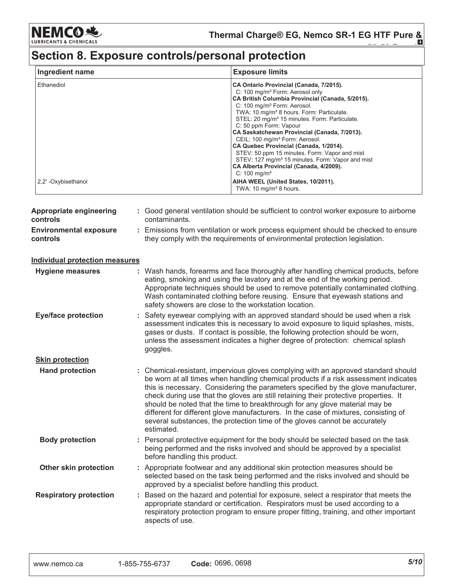**NEMCO 地** INTS & CHEMICALS LUBRICA

Thermal Charge® EG, Nemco SR-1 EG HTF Pure &

# Section 8. Exposure controls/personal protection

| Ingredient name      | <b>Exposure limits</b>                                                                                                                                                                                                                                                                                                                                                                                                                                                                                                                                                                                                                                               |
|----------------------|----------------------------------------------------------------------------------------------------------------------------------------------------------------------------------------------------------------------------------------------------------------------------------------------------------------------------------------------------------------------------------------------------------------------------------------------------------------------------------------------------------------------------------------------------------------------------------------------------------------------------------------------------------------------|
| Ethanediol           | CA Ontario Provincial (Canada, 7/2015).<br>C: 100 mg/m <sup>3</sup> Form: Aerosol only<br>CA British Columbia Provincial (Canada, 5/2015).<br>C: 100 mg/m <sup>3</sup> Form: Aerosol.<br>TWA: 10 mg/m <sup>3</sup> 8 hours. Form: Particulate.<br>STEL: 20 mg/m <sup>3</sup> 15 minutes. Form: Particulate.<br>C: 50 ppm Form: Vapour<br>CA Saskatchewan Provincial (Canada, 7/2013).<br>CEIL: 100 mg/m <sup>3</sup> Form: Aerosol.<br>CA Quebec Provincial (Canada, 1/2014).<br>STEV: 50 ppm 15 minutes. Form: Vapor and mist<br>STEV: 127 mg/m <sup>3</sup> 15 minutes. Form: Vapor and mist<br>CA Alberta Provincial (Canada, 4/2009).<br>$C: 100 \text{ mg/m}^3$ |
| 2.2' - Oxybisethanol | AIHA WEEL (United States, 10/2011).<br>TWA: 10 mg/m <sup>3</sup> 8 hours.                                                                                                                                                                                                                                                                                                                                                                                                                                                                                                                                                                                            |

| Appropriate engineering<br>controls       | : Good general ventilation should be sufficient to control worker exposure to airborne<br>contaminants.                                                                                                                                                                                                                                                                                                                                                                                                                                                                                                                   |
|-------------------------------------------|---------------------------------------------------------------------------------------------------------------------------------------------------------------------------------------------------------------------------------------------------------------------------------------------------------------------------------------------------------------------------------------------------------------------------------------------------------------------------------------------------------------------------------------------------------------------------------------------------------------------------|
| <b>Environmental exposure</b><br>controls | : Emissions from ventilation or work process equipment should be checked to ensure<br>they comply with the requirements of environmental protection legislation.                                                                                                                                                                                                                                                                                                                                                                                                                                                          |
| <b>Individual protection measures</b>     |                                                                                                                                                                                                                                                                                                                                                                                                                                                                                                                                                                                                                           |
| <b>Hygiene measures</b>                   | : Wash hands, forearms and face thoroughly after handling chemical products, before<br>eating, smoking and using the lavatory and at the end of the working period.<br>Appropriate techniques should be used to remove potentially contaminated clothing.<br>Wash contaminated clothing before reusing. Ensure that eyewash stations and<br>safety showers are close to the workstation location.                                                                                                                                                                                                                         |
| <b>Eye/face protection</b>                | : Safety eyewear complying with an approved standard should be used when a risk<br>assessment indicates this is necessary to avoid exposure to liquid splashes, mists,<br>gases or dusts. If contact is possible, the following protection should be worn,<br>unless the assessment indicates a higher degree of protection: chemical splash<br>goggles.                                                                                                                                                                                                                                                                  |
| <b>Skin protection</b>                    |                                                                                                                                                                                                                                                                                                                                                                                                                                                                                                                                                                                                                           |
| <b>Hand protection</b>                    | : Chemical-resistant, impervious gloves complying with an approved standard should<br>be worn at all times when handling chemical products if a risk assessment indicates<br>this is necessary. Considering the parameters specified by the glove manufacturer,<br>check during use that the gloves are still retaining their protective properties. It<br>should be noted that the time to breakthrough for any glove material may be<br>different for different glove manufacturers. In the case of mixtures, consisting of<br>several substances, the protection time of the gloves cannot be accurately<br>estimated. |
| <b>Body protection</b>                    | : Personal protective equipment for the body should be selected based on the task<br>being performed and the risks involved and should be approved by a specialist<br>before handling this product.                                                                                                                                                                                                                                                                                                                                                                                                                       |
| Other skin protection                     | : Appropriate footwear and any additional skin protection measures should be<br>selected based on the task being performed and the risks involved and should be<br>approved by a specialist before handling this product.                                                                                                                                                                                                                                                                                                                                                                                                 |
| <b>Respiratory protection</b>             | : Based on the hazard and potential for exposure, select a respirator that meets the<br>appropriate standard or certification. Respirators must be used according to a<br>respiratory protection program to ensure proper fitting, training, and other important<br>aspects of use.                                                                                                                                                                                                                                                                                                                                       |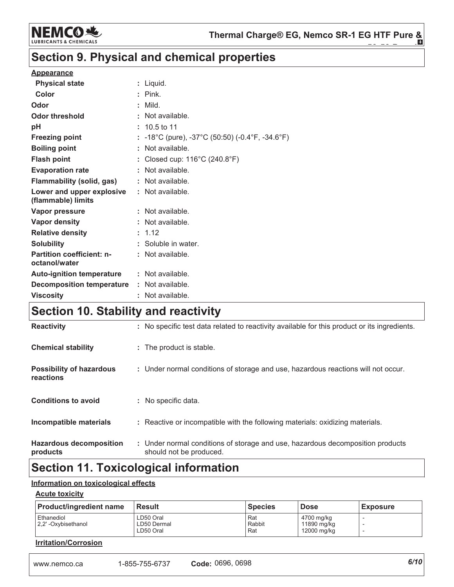

### Section 9. Physical and chemical properties

#### **Appearance**

| <b>Physical state</b>                             | : Liquid.                                        |
|---------------------------------------------------|--------------------------------------------------|
| Color                                             | $:$ Pink.                                        |
| Odor                                              | $:$ Mild.                                        |
| Odor threshold                                    | Not available.                                   |
| рH                                                | $: 10.5$ to 11                                   |
| <b>Freezing point</b>                             | : -18°C (pure), -37°C (50:50) (-0.4°F, -34.6°F)  |
| <b>Boiling point</b>                              | Not available.                                   |
| <b>Flash point</b>                                | Closed cup: $116^{\circ}$ C (240.8 $^{\circ}$ F) |
| <b>Evaporation rate</b>                           | Not available.                                   |
| Flammability (solid, gas)                         | : Not available.                                 |
| Lower and upper explosive<br>(flammable) limits   | : Not available.                                 |
| <b>Vapor pressure</b>                             | : Not available.                                 |
| Vapor density                                     | : Not available.                                 |
| <b>Relative density</b>                           | : 1.12                                           |
| <b>Solubility</b>                                 | : Soluble in water.                              |
| <b>Partition coefficient: n-</b><br>octanol/water | : Not available.                                 |
| <b>Auto-ignition temperature</b>                  | $:$ Not available.                               |
| <b>Decomposition temperature</b>                  | : Not available.                                 |
| <b>Viscosity</b>                                  | : Not available.                                 |

## Section 10. Stability and reactivity

| <b>Reactivity</b>                                   | : No specific test data related to reactivity available for this product or its ingredients.              |
|-----------------------------------------------------|-----------------------------------------------------------------------------------------------------------|
| <b>Chemical stability</b>                           | : The product is stable.                                                                                  |
| <b>Possibility of hazardous</b><br><b>reactions</b> | : Under normal conditions of storage and use, hazardous reactions will not occur.                         |
| <b>Conditions to avoid</b>                          | : No specific data.                                                                                       |
| <b>Incompatible materials</b>                       | : Reactive or incompatible with the following materials: oxidizing materials.                             |
| <b>Hazardous decomposition</b><br>products          | : Under normal conditions of storage and use, hazardous decomposition products<br>should not be produced. |

### **Section 11. Toxicological information**

#### Information on toxicological effects

#### **Acute toxicity**

| <b>Product/ingredient name</b>     | <b>Result</b>                         | <b>Species</b>       | l Dose                                   | <b>Exposure</b>                    |
|------------------------------------|---------------------------------------|----------------------|------------------------------------------|------------------------------------|
| Ethanediol<br>2.2' - Oxybisethanol | LD50 Oral<br>LD50 Dermal<br>LD50 Oral | Rat<br>Rabbit<br>Rat | 4700 mg/kg<br>11890 mg/kg<br>12000 mg/kg | -<br>$\overline{\phantom{a}}$<br>- |

#### **Irritation/Corrosion**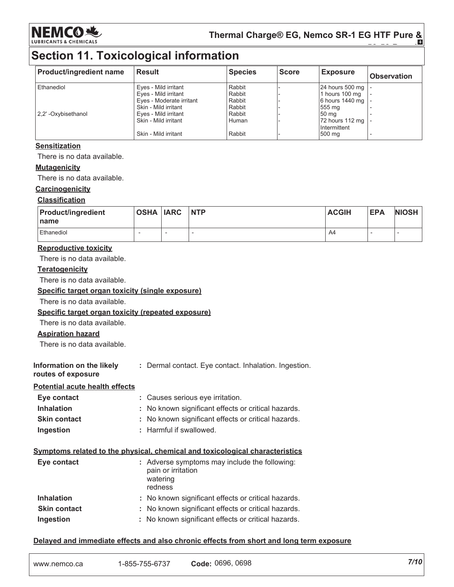

Thermal Charge® EG, Nemco SR-1 EG HTF Pure & Õ

### **Section 11. Toxicological information**

| <b>Product/ingredient name</b> | Result                   | <b>Species</b> | <b>Score</b> | <b>Exposure</b> | <b>Observation</b> |
|--------------------------------|--------------------------|----------------|--------------|-----------------|--------------------|
| Ethanediol                     | Eyes - Mild irritant     | Rabbit         |              | 24 hours 500 mg |                    |
|                                | Eyes - Mild irritant     | Rabbit         |              | 1 hours 100 mg  |                    |
|                                | Eyes - Moderate irritant | Rabbit         |              | 6 hours 1440 mg |                    |
|                                | Skin - Mild irritant     | Rabbit         |              | 555 mg          |                    |
| 2.2' - Oxybisethanol           | Eyes - Mild irritant     | Rabbit         |              | 50 mg           |                    |
|                                | Skin - Mild irritant     | Human          |              | 72 hours 112 mg |                    |
|                                |                          |                |              | Intermittent    |                    |
|                                | Skin - Mild irritant     | Rabbit         |              | 500 mg          |                    |

#### **Sensitization**

There is no data available.

#### **Mutagenicity**

There is no data available.

#### Carcinogenicity

#### **Classification**

| <b>Product/ingredient</b><br>l name | <b>OSHA IARC</b> | <b>NTP</b> | <b>ACGIH</b> | <b>EPA</b> | <b>NIOSH</b> |
|-------------------------------------|------------------|------------|--------------|------------|--------------|
| <b>Ethanediol</b>                   |                  |            | A4           |            |              |

#### **Reproductive toxicity**

There is no data available.

#### **Teratogenicity**

There is no data available.

Specific target organ toxicity (single exposure)

There is no data available.

#### Specific target organ toxicity (repeated exposure)

There is no data available.

#### **Aspiration hazard**

There is no data available.

Information on the likely : Dermal contact. Eye contact. Inhalation. Ingestion.

#### routes of exposure

Potential acute health effects

| Eye contact         | : Causes serious eye irritation.                    |
|---------------------|-----------------------------------------------------|
| <b>Inhalation</b>   | : No known significant effects or critical hazards. |
| <b>Skin contact</b> | : No known significant effects or critical hazards. |
| Ingestion           | : Harmful if swallowed.                             |

#### Symptoms related to the physical, chemical and toxicological characteristics

| Eye contact         | : Adverse symptoms may include the following:<br>pain or irritation<br>watering<br>redness |
|---------------------|--------------------------------------------------------------------------------------------|
| <b>Inhalation</b>   | : No known significant effects or critical hazards.                                        |
| <b>Skin contact</b> | : No known significant effects or critical hazards.                                        |
| Ingestion           | : No known significant effects or critical hazards.                                        |

#### Delayed and immediate effects and also chronic effects from short and long term exposure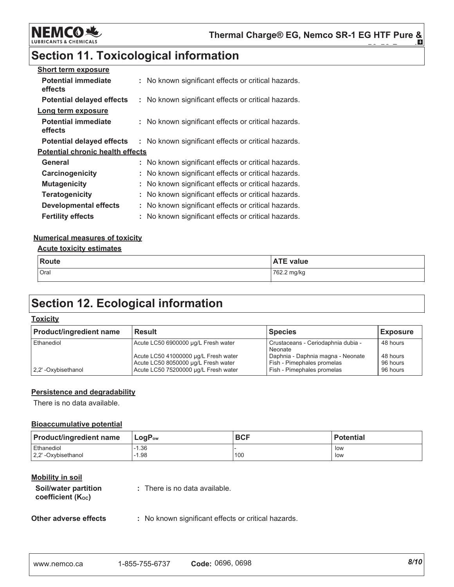

### **Section 11. Toxicological information**

| <b>Short term exposure</b>              |                                                     |
|-----------------------------------------|-----------------------------------------------------|
| <b>Potential immediate</b><br>effects   | : No known significant effects or critical hazards. |
| <b>Potential delayed effects</b>        | : No known significant effects or critical hazards. |
| Long term exposure                      |                                                     |
| <b>Potential immediate</b><br>effects   | : No known significant effects or critical hazards. |
| <b>Potential delayed effects</b>        | : No known significant effects or critical hazards. |
| <b>Potential chronic health effects</b> |                                                     |
| General                                 | : No known significant effects or critical hazards. |
| Carcinogenicity                         | : No known significant effects or critical hazards. |
| <b>Mutagenicity</b>                     | : No known significant effects or critical hazards. |
| <b>Teratogenicity</b>                   | : No known significant effects or critical hazards. |
| <b>Developmental effects</b>            | : No known significant effects or critical hazards. |
| <b>Fertility effects</b>                | : No known significant effects or critical hazards. |

#### **Numerical measures of toxicity**

#### **Acute toxicity estimates**

| Route | <b>ATE value</b> |
|-------|------------------|
| Oral  | 762.2 mg/kg      |

### **Section 12. Ecological information**

#### **Toxicity**

| <b>Product/ingredient name</b> | <b>Result</b>                                                                                                       | <b>Species</b>                                                                                | <b>Exposure</b>                  |
|--------------------------------|---------------------------------------------------------------------------------------------------------------------|-----------------------------------------------------------------------------------------------|----------------------------------|
| Ethanediol                     | Acute LC50 6900000 ug/L Fresh water                                                                                 | Crustaceans - Ceriodaphnia dubia -<br>Neonate                                                 | 48 hours                         |
| 2.2'-Oxybisethanol             | Acute LC50 41000000 µg/L Fresh water<br>Acute LC50 8050000 ug/L Fresh water<br>Acute LC50 75200000 µg/L Fresh water | Daphnia - Daphnia magna - Neonate<br>Fish - Pimephales promelas<br>Fish - Pimephales promelas | 48 hours<br>96 hours<br>96 hours |

#### Persistence and degradability

There is no data available.

#### **Bioaccumulative potential**

| <b>Product/ingredient name</b> | l LoqP <sub>ow</sub> | <b>BCF</b> | <b>Potential</b> |
|--------------------------------|----------------------|------------|------------------|
| Ethanediol                     | $-1.36$              | 100        | low              |
| 2,2'-Oxybisethanol             | 1.98                 |            | low              |

#### **Mobility in soil**

| Soil/water partition<br>coefficient (K <sub>oc</sub> ) | : There is no data available. |
|--------------------------------------------------------|-------------------------------|
|                                                        |                               |

: No known significant effects or critical hazards.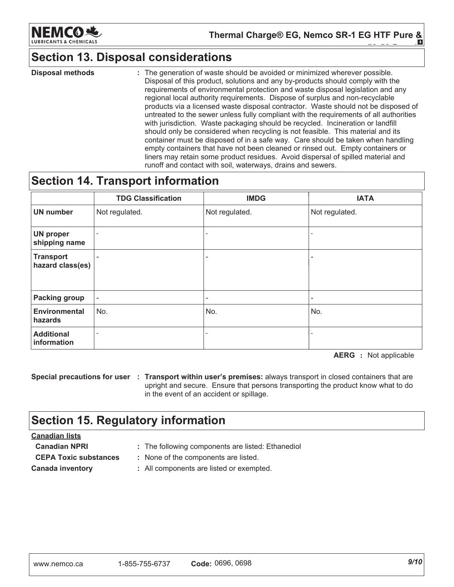

Thermal Charge® EG, Nemco SR-1 EG HTF Pure & H.

### **Section 13. Disposal considerations**

**Disposal methods** : The generation of waste should be avoided or minimized wherever possible. Disposal of this product, solutions and any by-products should comply with the requirements of environmental protection and waste disposal legislation and any regional local authority requirements. Dispose of surplus and non-recyclable products via a licensed waste disposal contractor. Waste should not be disposed of untreated to the sewer unless fully compliant with the requirements of all authorities with jurisdiction. Waste packaging should be recycled. Incineration or landfill should only be considered when recycling is not feasible. This material and its container must be disposed of in a safe way. Care should be taken when handling empty containers that have not been cleaned or rinsed out. Empty containers or liners may retain some product residues. Avoid dispersal of spilled material and runoff and contact with soil, waterways, drains and sewers.

### **Section 14. Transport information**

|                                      | <b>TDG Classification</b> | <b>IMDG</b>              | <b>IATA</b>    |
|--------------------------------------|---------------------------|--------------------------|----------------|
| <b>UN number</b>                     | Not regulated.            | Not regulated.           | Not regulated. |
| <b>UN proper</b><br>shipping name    |                           | $\overline{\phantom{a}}$ |                |
| <b>Transport</b><br>hazard class(es) |                           | $\overline{\phantom{0}}$ |                |
| <b>Packing group</b>                 | $\overline{\phantom{a}}$  | $\overline{\phantom{a}}$ | -              |
| <b>Environmental</b><br>hazards      | No.                       | No.                      | No.            |
| <b>Additional</b><br>information     |                           | $\overline{\phantom{a}}$ |                |

**AERG** : Not applicable

Special precautions for user : Transport within user's premises: always transport in closed containers that are upright and secure. Ensure that persons transporting the product know what to do in the event of an accident or spillage.

### **Section 15. Regulatory information**

#### **Canadian lists**

**Canadian NPRI CEPA Toxic substances** 

- : The following components are listed: Ethanediol
- : None of the components are listed.

**Canada inventory** 

- 
- : All components are listed or exempted.